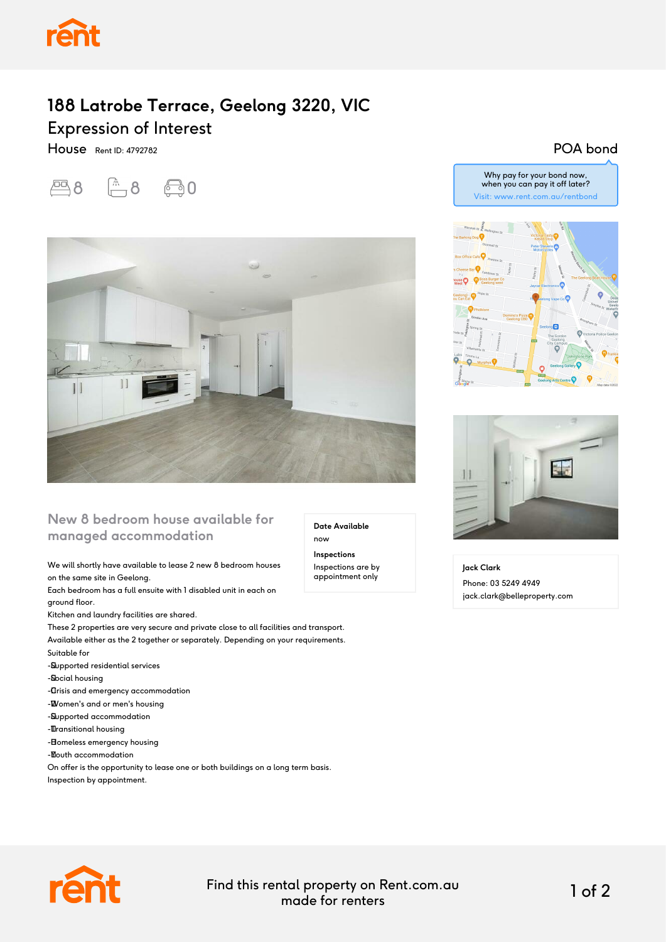

## **188 Latrobe Terrace, Geelong 3220, VIC** Expression of Interest

House Rent ID: 4792782

四8 面8 面0



## **New 8 bedroom house available for managed accommodation**

#### We will shortly have available to lease 2 new 8 bedroom houses on the same site in Geelong.

Each bedroom has a full ensuite with 1 disabled unit in each on ground floor.

Kitchen and laundry facilities are shared.

These 2 properties are very secure and private close to all facilities and transport. Available either as the 2 together or separately. Depending on your requirements.

- Suitable for
- -Supported residential services
- -Social housing

- **Crisis and emergency accommodation** 

- - Women's and or men's housing
- -Supported accommodation
- -**Transitional housing**
- Bomeless emergency housing
- -**Mouth accommodation**

On offer is the opportunity to lease one or both buildings on a long term basis. Inspection by appointment.

Visit: www.rent.com.au/rentbond



Why pay for your bond now, when you can pay it off later?

POA bond



**Jack Clark** Phone: 03 5249 4949 jack.clark@belleproperty.com



Find this rental property on Rent.com.au made for renters 1 of 2

**Date Available**

now **Inspections** Inspections are by appointment only